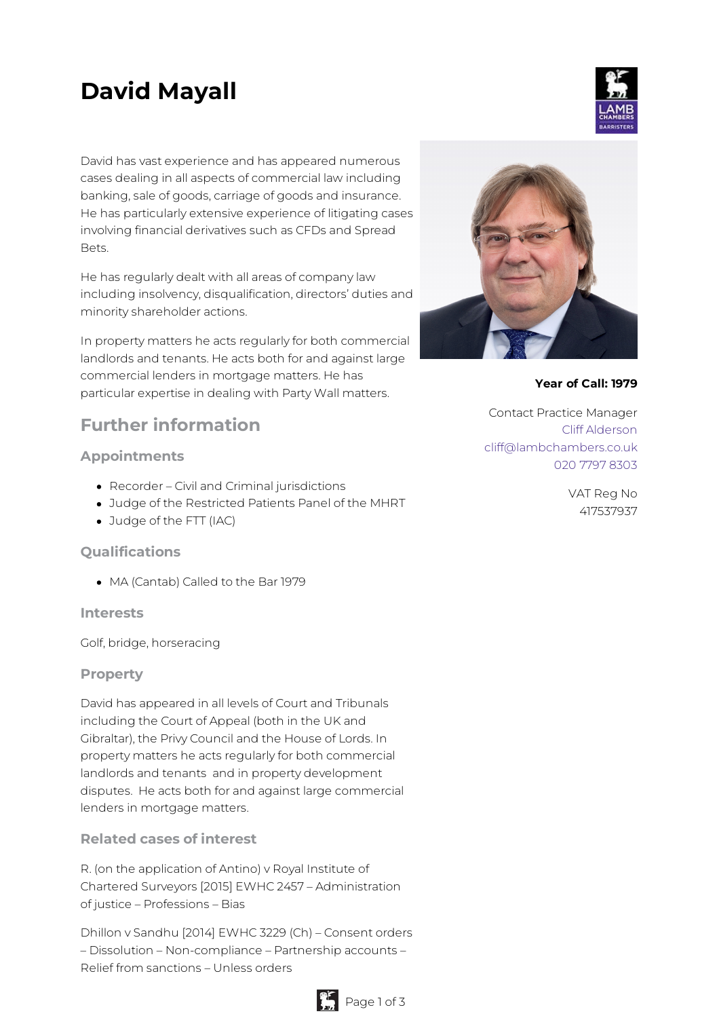# **David Mayall**

David has vast experience and has appeared numerous cases dealing in all aspects of commercial law including banking, sale of goods, carriage of goods and insurance. He has particularly extensive experience of litigating cases involving financial derivatives such as CFDs and Spread Bets.

He has regularly dealt with all areas of company law including insolvency, disqualification, directors' duties and minority shareholder actions.

In property matters he acts regularly for both commercial landlords and tenants. He acts both for and against large commercial lenders in mortgage matters. He has particular expertise in dealing with Party Wall matters.

# **Further information**

# **Appointments**

- Recorder Civil and Criminal jurisdictions
- Judge of the Restricted Patients Panel of the MHRT
- Judge of the FTT (IAC)

# **Qualifications**

MA (Cantab) Called to the Bar 1979

#### **Interests**

Golf, bridge, horseracing

# **Property**

David has appeared in all levels of Court and Tribunals including the Court of Appeal (both in the UK and Gibraltar), the Privy Council and the House of Lords. In property matters he acts regularly for both commercial landlords and tenants and in property development disputes. He acts both for and against large commercial lenders in mortgage matters.

# **Related cases of interest**

R. (on the application of Antino) v Royal Institute of Chartered Surveyors [2015] EWHC 2457 – Administration of justice – Professions – Bias

Dhillon v Sandhu [2014] EWHC 3229 (Ch) – Consent orders – Dissolution – Non-compliance – Partnership accounts – Relief from sanctions – Unless orders





**Year of Call: 1979**

Contact Practice Manager Cliff [Alderson](mailto:cliff@lambchambers.co.uk) [cliff@lambchambers.co.uk](mailto:cliff@lambchambers.co.uk) 020 7797 [8303](tel:020%207797%208303)

> VAT Reg No 417537937

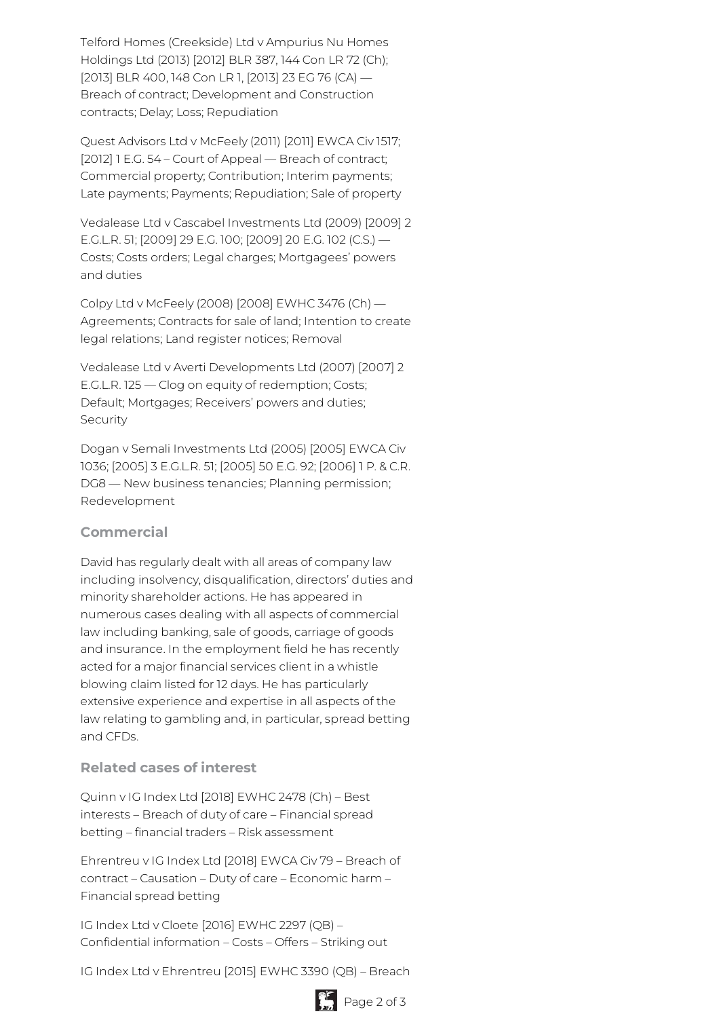Telford Homes (Creekside) Ltd v Ampurius Nu Homes Holdings Ltd (2013) [2012] BLR 387, 144 Con LR 72 (Ch); [2013] BLR 400, 148 Con LR 1, [2013] 23 EG 76 (CA) — Breach of contract; Development and Construction contracts; Delay; Loss; Repudiation

Quest Advisors Ltd v McFeely (2011) [2011] EWCA Civ 1517; [2012] 1 E.G. 54 – Court of Appeal — Breach of contract; Commercial property; Contribution; Interim payments; Late payments; Payments; Repudiation; Sale of property

Vedalease Ltd v Cascabel Investments Ltd (2009) [2009] 2 E.G.L.R. 51; [2009] 29 E.G. 100; [2009] 20 E.G. 102 (C.S.) — Costs; Costs orders; Legal charges; Mortgagees' powers and duties

Colpy Ltd v McFeely (2008) [2008] EWHC 3476 (Ch) — Agreements; Contracts for sale of land; Intention to create legal relations; Land register notices; Removal

Vedalease Ltd v Averti Developments Ltd (2007) [2007] 2 E.G.L.R. 125 — Clog on equity of redemption; Costs; Default; Mortgages; Receivers' powers and duties; Security

Dogan v Semali Investments Ltd (2005) [2005] EWCA Civ 1036; [2005] 3 E.G.L.R. 51; [2005] 50 E.G. 92; [2006] 1 P. & C.R. DG8 — New business tenancies; Planning permission; Redevelopment

# **Commercial**

David has regularly dealt with all areas of company law including insolvency, disqualification, directors' duties and minority shareholder actions. He has appeared in numerous cases dealing with all aspects of commercial law including banking, sale of goods, carriage of goods and insurance. In the employment field he has recently acted for a major financial services client in a whistle blowing claim listed for 12 days. He has particularly extensive experience and expertise in all aspects of the law relating to gambling and, in particular, spread betting and CFDs.

# **Related cases of interest**

Quinn v IG Index Ltd [2018] EWHC 2478 (Ch) – Best interests – Breach of duty of care – Financial spread betting – financial traders – Risk assessment

Ehrentreu v IG Index Ltd [2018] EWCA Civ 79 – Breach of contract – Causation – Duty of care – Economic harm – Financial spread betting

IG Index Ltd v Cloete [2016] EWHC 2297 (QB) – Confidential information – Costs – Offers – Striking out

IG Index Ltd v Ehrentreu [2015] EWHC 3390 (QB) – Breach